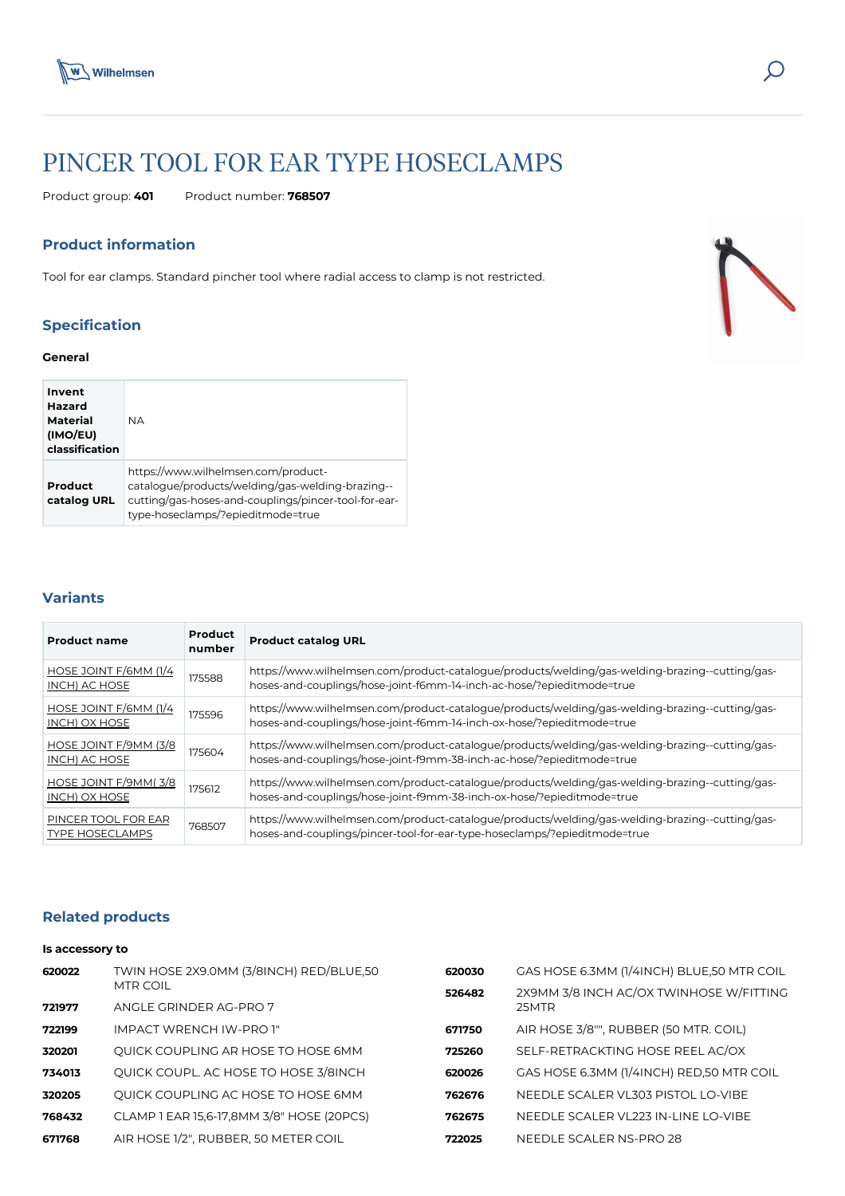

# PINCER TOOL FOR EAR TYPE HOSECLAMPS

Product group: **401** Product number: **768507**

#### **Product information**

Tool for ear clamps. Standard pincher tool where radial access to clamp is not restricted.

## **Specification**

#### **General**

| Invent<br>Hazard<br>Material<br>(IMO/EU)<br>classification | <b>NA</b>                                                                                                                                                                            |
|------------------------------------------------------------|--------------------------------------------------------------------------------------------------------------------------------------------------------------------------------------|
| Product<br>catalog URL                                     | https://www.wilhelmsen.com/product-<br>catalogue/products/welding/gas-welding-brazing--<br>cutting/gas-hoses-and-couplings/pincer-tool-for-ear-<br>type-hoseclamps/?epieditmode=true |

### **Variants**

| <b>Product name</b>                           | <b>Product</b><br>number | <b>Product catalog URL</b>                                                                                                                                                   |
|-----------------------------------------------|--------------------------|------------------------------------------------------------------------------------------------------------------------------------------------------------------------------|
| HOSE JOINT F/6MM (1/4<br>INCH) AC HOSE        | 175588                   | https://www.wilhelmsen.com/product-catalogue/products/welding/gas-welding-brazing--cutting/gas-<br>hoses-and-couplings/hose-joint-f6mm-14-inch-ac-hose/?epieditmode=true     |
| HOSE JOINT F/6MM (1/4<br>INCH) OX HOSE        | 175596                   | https://www.wilhelmsen.com/product-catalogue/products/welding/gas-welding-brazing--cutting/gas-<br>hoses-and-couplings/hose-joint-f6mm-14-inch-ox-hose/?epieditmode=true     |
| HOSE JOINT F/9MM (3/8<br>INCH) AC HOSE        | 175604                   | https://www.wilhelmsen.com/product-catalogue/products/welding/gas-welding-brazing--cutting/gas-<br>hoses-and-couplings/hose-joint-f9mm-38-inch-ac-hose/?epieditmode=true     |
| HOSE JOINT F/9MM(3/8<br>INCH) OX HOSE         | 175612                   | https://www.wilhelmsen.com/product-catalogue/products/welding/gas-welding-brazing--cutting/gas-<br>hoses-and-couplings/hose-joint-f9mm-38-inch-ox-hose/?epieditmode=true     |
| PINCER TOOL FOR EAR<br><b>TYPE HOSECLAMPS</b> | 768507                   | https://www.wilhelmsen.com/product-catalogue/products/welding/gas-welding-brazing--cutting/gas-<br>hoses-and-couplings/pincer-tool-for-ear-type-hoseclamps/?epieditmode=true |

#### **Related products**

#### **Is accessory to**

| 620022 | TWIN HOSE 2X9.0MM (3/8INCH) RED/BLUE,50   | 620030 | GAS HOSE 6.3MM (1/4INCH) BLUE,50 MTR COIL |
|--------|-------------------------------------------|--------|-------------------------------------------|
|        | <b>MTR COIL</b>                           | 526482 | 2X9MM 3/8 INCH AC/OX TWINHOSE W/FITTING   |
| 721977 | ANGLE GRINDER AG-PRO 7                    |        | 25MTR                                     |
| 722199 | <b>IMPACT WRENCH IW-PRO 1"</b>            | 671750 | AIR HOSE 3/8"", RUBBER (50 MTR. COIL)     |
| 320201 | QUICK COUPLING AR HOSE TO HOSE 6MM        | 725260 | SELF-RETRACKTING HOSE REEL AC/OX          |
| 734013 | QUICK COUPL. AC HOSE TO HOSE 3/8INCH      | 620026 | GAS HOSE 6.3MM (1/4INCH) RED,50 MTR COIL  |
| 320205 | QUICK COUPLING AC HOSE TO HOSE 6MM        | 762676 | NEEDLE SCALER VL303 PISTOL LO-VIBE        |
| 768432 | CLAMP 1 EAR 15,6-17,8MM 3/8" HOSE (20PCS) | 762675 | NEEDLE SCALER VL223 IN-LINE LO-VIBE       |
| 671768 | AIR HOSE 1/2", RUBBER, 50 METER COIL      | 722025 | NEEDLE SCALER NS-PRO 28                   |
|        |                                           |        |                                           |